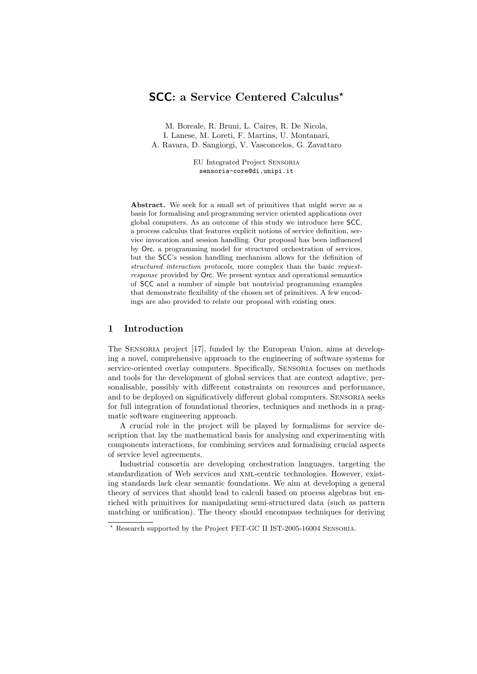# **SCC:** a Service Centered Calculus<sup>\*</sup>

M. Boreale, R. Bruni, L. Caires, R. De Nicola, I. Lanese, M. Loreti, F. Martins, U. Montanari, A. Ravara, D. Sangiorgi, V. Vasconcelos, G. Zavattaro

> EU Integrated Project Sensoria sensoria-core@di.unipi.it

Abstract. We seek for a small set of primitives that might serve as a basis for formalising and programming service oriented applications over global computers. As an outcome of this study we introduce here SCC, a process calculus that features explicit notions of service definition, service invocation and session handling. Our proposal has been influenced by Orc, a programming model for structured orchestration of services, but the SCC's session handling mechanism allows for the definition of structured interaction protocols, more complex than the basic requestresponse provided by Orc. We present syntax and operational semantics of SCC and a number of simple but nontrivial programming examples that demonstrate flexibility of the chosen set of primitives. A few encodings are also provided to relate our proposal with existing ones.

# 1 Introduction

The SENSORIA project [17], funded by the European Union, aims at developing a novel, comprehensive approach to the engineering of software systems for service-oriented overlay computers. Specifically, Sensoria focuses on methods and tools for the development of global services that are context adaptive, personalisable, possibly with different constraints on resources and performance, and to be deployed on significatively different global computers. Sensoria seeks for full integration of foundational theories, techniques and methods in a pragmatic software engineering approach.

A crucial role in the project will be played by formalisms for service description that lay the mathematical basis for analysing and experimenting with components interactions, for combining services and formalising crucial aspects of service level agreements.

Industrial consortia are developing orchestration languages, targeting the standardization of Web services and xml-centric technologies. However, existing standards lack clear semantic foundations. We aim at developing a general theory of services that should lead to calculi based on process algebras but enriched with primitives for manipulating semi-structured data (such as pattern matching or unification). The theory should encompass techniques for deriving

<sup>?</sup> Research supported by the Project FET-GC II IST-2005-16004 Sensoria.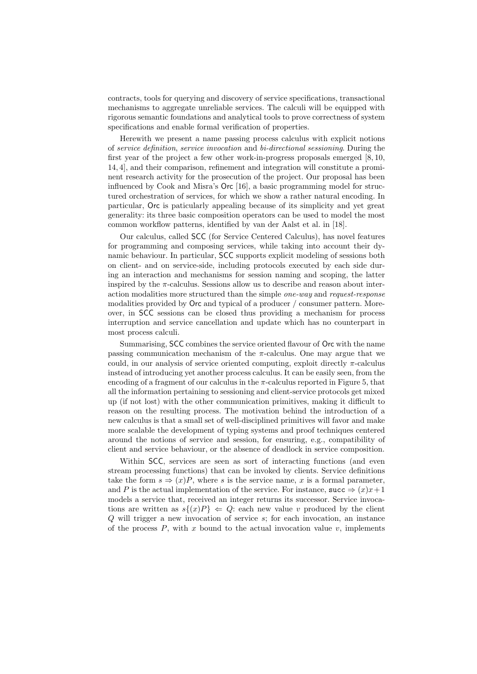contracts, tools for querying and discovery of service specifications, transactional mechanisms to aggregate unreliable services. The calculi will be equipped with rigorous semantic foundations and analytical tools to prove correctness of system specifications and enable formal verification of properties.

Herewith we present a name passing process calculus with explicit notions of service definition, service invocation and bi-directional sessioning. During the first year of the project a few other work-in-progress proposals emerged [8, 10, 14, 4], and their comparison, refinement and integration will constitute a prominent research activity for the prosecution of the project. Our proposal has been influenced by Cook and Misra's Orc [16], a basic programming model for structured orchestration of services, for which we show a rather natural encoding. In particular, Orc is paticularly appealing because of its simplicity and yet great generality: its three basic composition operators can be used to model the most common workflow patterns, identified by van der Aalst et al. in [18].

Our calculus, called SCC (for Service Centered Calculus), has novel features for programming and composing services, while taking into account their dynamic behaviour. In particular, SCC supports explicit modeling of sessions both on client- and on service-side, including protocols executed by each side during an interaction and mechanisms for session naming and scoping, the latter inspired by the  $\pi$ -calculus. Sessions allow us to describe and reason about interaction modalities more structured than the simple one-way and request-response modalities provided by Orc and typical of a producer / consumer pattern. Moreover, in SCC sessions can be closed thus providing a mechanism for process interruption and service cancellation and update which has no counterpart in most process calculi.

Summarising, SCC combines the service oriented flavour of Orc with the name passing communication mechanism of the  $\pi$ -calculus. One may argue that we could, in our analysis of service oriented computing, exploit directly  $\pi$ -calculus instead of introducing yet another process calculus. It can be easily seen, from the encoding of a fragment of our calculus in the  $\pi$ -calculus reported in Figure 5, that all the information pertaining to sessioning and client-service protocols get mixed up (if not lost) with the other communication primitives, making it difficult to reason on the resulting process. The motivation behind the introduction of a new calculus is that a small set of well-disciplined primitives will favor and make more scalable the development of typing systems and proof techniques centered around the notions of service and session, for ensuring, e.g., compatibility of client and service behaviour, or the absence of deadlock in service composition.

Within SCC, services are seen as sort of interacting functions (and even stream processing functions) that can be invoked by clients. Service definitions take the form  $s \Rightarrow (x)P$ , where s is the service name, x is a formal parameter, and P is the actual implementation of the service. For instance,  $\text{succ} \Rightarrow (x)x+1$ models a service that, received an integer returns its successor. Service invocations are written as  $s{(x)P} \leftarrow Q$ : each new value v produced by the client  $Q$  will trigger a new invocation of service  $s$ ; for each invocation, an instance of the process  $P$ , with x bound to the actual invocation value v, implements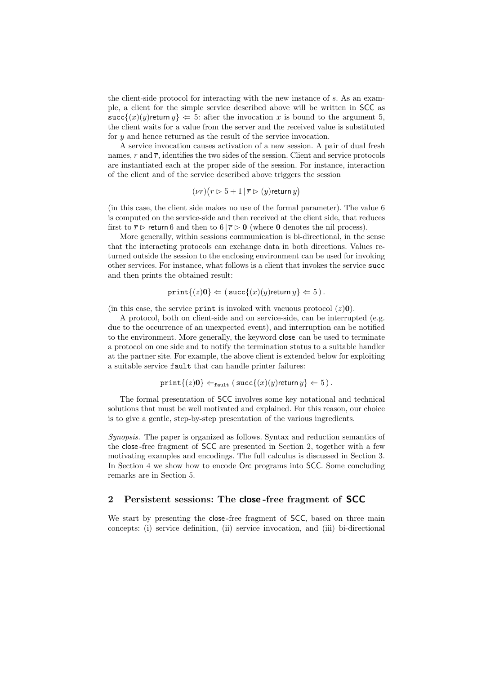the client-side protocol for interacting with the new instance of s. As an example, a client for the simple service described above will be written in SCC as  $succ{(x)(y)}$ return  $y$ }  $\Leftarrow$  5: after the invocation x is bound to the argument 5, the client waits for a value from the server and the received value is substituted for y and hence returned as the result of the service invocation.

A service invocation causes activation of a new session. A pair of dual fresh names,  $r$  and  $\bar{r}$ , identifies the two sides of the session. Client and service protocols are instantiated each at the proper side of the session. For instance, interaction of the client and of the service described above triggers the session

$$
(\nu r)(r \triangleright 5 + 1 | \overline{r} \triangleright (y)
$$
return y)

(in this case, the client side makes no use of the formal parameter). The value 6 is computed on the service-side and then received at the client side, that reduces first to  $\bar{r}$   $\triangleright$  return 6 and then to 6 |  $\bar{r}$   $\triangleright$  0 (where 0 denotes the nil process).

More generally, within sessions communication is bi-directional, in the sense that the interacting protocols can exchange data in both directions. Values returned outside the session to the enclosing environment can be used for invoking other services. For instance, what follows is a client that invokes the service succ and then prints the obtained result:

$$
\text{print}\{(z)\mathbf{0}\} \Leftarrow (\text{succ}\{(x)(y)\text{return }y\} \Leftarrow 5).
$$

(in this case, the service print is invoked with vacuous protocol  $(z)$ **0**).

A protocol, both on client-side and on service-side, can be interrupted (e.g. due to the occurrence of an unexpected event), and interruption can be notified to the environment. More generally, the keyword close can be used to terminate a protocol on one side and to notify the termination status to a suitable handler at the partner site. For example, the above client is extended below for exploiting a suitable service fault that can handle printer failures:

$$
\text{print}\{(z)\mathbf{0}\}\leftarrow_{\text{fault}} (\text{succ}\{(x)(y)\text{return }y\}\leftarrow 5).
$$

The formal presentation of SCC involves some key notational and technical solutions that must be well motivated and explained. For this reason, our choice is to give a gentle, step-by-step presentation of the various ingredients.

Synopsis. The paper is organized as follows. Syntax and reduction semantics of the close -free fragment of SCC are presented in Section 2, together with a few motivating examples and encodings. The full calculus is discussed in Section 3. In Section 4 we show how to encode Orc programs into SCC. Some concluding remarks are in Section 5.

# 2 Persistent sessions: The close -free fragment of SCC

We start by presenting the close-free fragment of SCC, based on three main concepts: (i) service definition, (ii) service invocation, and (iii) bi-directional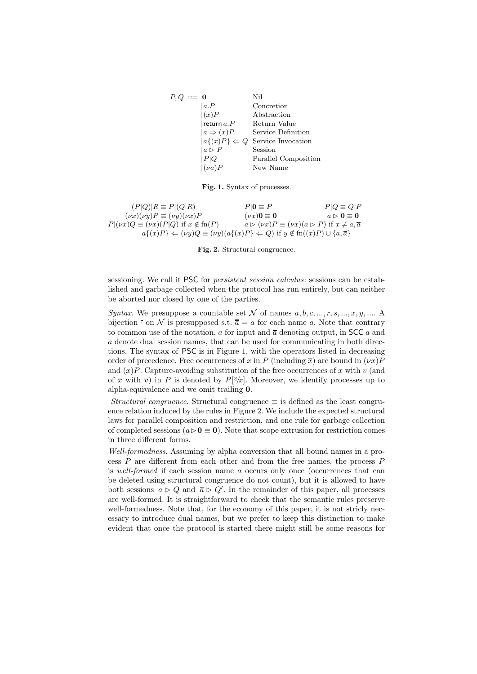| $P,Q ::= 0$           | Nil                                          |
|-----------------------|----------------------------------------------|
| a.P                   | Concretion                                   |
| (x)P                  | Abstraction                                  |
| return $a.P$          | Return Value                                 |
| $ a \Rightarrow (x)P$ | Service Definition                           |
|                       | $ a\{(x)P\} \leftarrow Q$ Service Invocation |
| $ a \triangleright P$ | Session                                      |
| P Q                   | Parallel Composition                         |
| $(\nu a)P$            | New Name                                     |

Fig. 1. Syntax of processes.

 $(P|Q)|R \equiv P|(Q|R)$   $P|\mathbf{0} \equiv P$   $P|Q \equiv Q|P$  $(\nu x)(\nu y)P \equiv (\nu y)(\nu x)P$   $(\nu x)\mathbf{0} \equiv \mathbf{0}$   $a \triangleright \mathbf{0} \equiv \mathbf{0}$  $P|(\nu x)Q \equiv (\nu x)(P|Q)$  if  $x \notin fP$   $a \trianglerighteq (vx)P \equiv (\nu x)(a \triangleright P)$  if  $x \neq a, \overline{a}$  $a\{(x)P\} \leftarrow (vy)Q \equiv (vy)(a\{(x)P\} \leftarrow Q)$  if  $y \notin fn((x)P) \cup \{a,\overline{a}\}\)$ 

#### Fig. 2. Structural congruence.

sessioning. We call it PSC for persistent session calculus: sessions can be established and garbage collected when the protocol has run entirely, but can neither be aborted nor closed by one of the parties.

*Syntax.* We presuppose a countable set N of names  $a, b, c, ..., r, s, ..., x, y, ...$  A bijection  $\overline{\cdot}$  on N is presupposed s.t.  $\overline{\overline{a}} = a$  for each name a. Note that contrary to common use of the notation, a for input and  $\bar{a}$  denoting output, in SCC a and  $\bar{a}$  denote dual session names, that can be used for communicating in both directions. The syntax of PSC is in Figure 1, with the operators listed in decreasing order of precedence. Free occurrences of x in P (including  $\bar{x}$ ) are bound in  $(\nu x)P$ and  $(x)P$ . Capture-avoiding substitution of the free occurrences of x with v (and of  $\bar{x}$  with  $\bar{v}$ ) in P is denoted by  $P[v/x]$ . Moreover, we identify processes up to alpha-equivalence and we omit trailing 0.

Structural congruence. Structural congruence  $\equiv$  is defined as the least congruence relation induced by the rules in Figure 2. We include the expected structural laws for parallel composition and restriction, and one rule for garbage collection of completed sessions ( $a \triangleright 0 \equiv 0$ ). Note that scope extrusion for restriction comes in three different forms.

Well-formedness. Assuming by alpha conversion that all bound names in a process  $P$  are different from each other and from the free names, the process  $P$ is well-formed if each session name a occurs only once (occurrences that can be deleted using structural congruence do not count), but it is allowed to have both sessions  $a \triangleright Q$  and  $\overline{a} \triangleright Q'$ . In the remainder of this paper, all processes are well-formed. It is straightforward to check that the semantic rules preserve well-formedness. Note that, for the economy of this paper, it is not stricly necessary to introduce dual names, but we prefer to keep this distinction to make evident that once the protocol is started there might still be some reasons for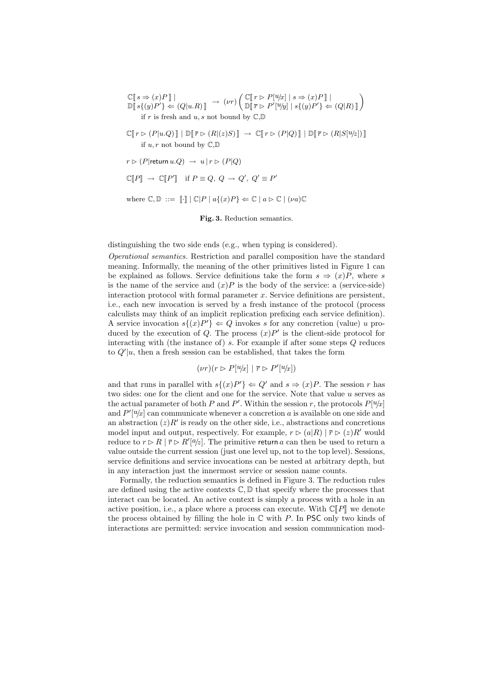$$
\mathbb{C}[\![s \Rightarrow (x)P]\!] |
$$
  
\n
$$
\mathbb{D}[\![s\{(y)P'\} \Leftarrow (Q|u.R)] \!] \rightarrow (\nu r) \left( \mathbb{C}[\![r \rhd P[\![u/y] \!]\!] \mid s \Rightarrow (x)P]\!] |
$$
  
\nif r is fresh and u, s not bound by C, $\mathbb{D}$   
\n
$$
\mathbb{C}[\![r \rhd (P|u.Q)\!] \mid \mathbb{D}[\![\bar{r} \rhd (R|(z)S)]\!] \rightarrow \mathbb{C}[\![r \rhd (P|Q)\!] \mid \mathbb{D}[\![\bar{r} \rhd (R|S[\![u/z]\!])\!]
$$
  
\nif u, r not bound by C, $\mathbb{D}$   
\n
$$
r \rhd (P|\text{return } u.Q) \rightarrow u | r \rhd (P|Q)
$$
  
\n
$$
\mathbb{C}[\![P]\!] \rightarrow \mathbb{C}[\![P']\!] \quad \text{if } P \equiv Q, Q \rightarrow Q', Q' \equiv P'
$$
  
\nwhere C,  $\mathbb{D} ::= [\![\cdot]\!] \mid \mathbb{C}[\![P]\!] \land \{(\{x\}P\} \Leftarrow \mathbb{C} \mid a \rhd \mathbb{C} \mid (\nu a)\mathbb{C})\} \quad \text{where } \mathbb{C}, \mathbb{D} ::= [\![\cdot]\!] \mid \mathbb{C}[\![P]\!] \land \{(\{x\}P\} \Leftarrow \mathbb{C} \mid a \rhd \mathbb{C} \mid (\nu a)\mathbb{C})\}$ 

#### Fig. 3. Reduction semantics.

distinguishing the two side ends (e.g., when typing is considered).

Operational semantics. Restriction and parallel composition have the standard meaning. Informally, the meaning of the other primitives listed in Figure 1 can be explained as follows. Service definitions take the form  $s \Rightarrow (x)P$ , where s is the name of the service and  $(x)P$  is the body of the service: a (service-side) interaction protocol with formal parameter  $x$ . Service definitions are persistent, i.e., each new invocation is served by a fresh instance of the protocol (process calculists may think of an implicit replication prefixing each service definition). A service invocation  $s\{(x)P'\}\Leftarrow Q$  invokes s for any concretion (value) u produced by the execution of Q. The process  $(x)P'$  is the client-side protocol for interacting with (the instance of) s. For example if after some steps Q reduces to  $Q'|u$ , then a fresh session can be established, that takes the form

$$
(\nu r)(r \triangleright P[u/x] \mid \overline{r} \triangleright P'[u/x])
$$

and that runs in parallel with  $s\{(x)P'\}\leftarrow Q'$  and  $s \Rightarrow (x)P$ . The session r has two sides: one for the client and one for the service. Note that value  $u$  serves as the actual parameter of both P and P'. Within the session r, the protocols  $P[\psi_x]$ and  $P'[u/x]$  can communicate whenever a concretion a is available on one side and an abstraction  $(z)R'$  is ready on the other side, i.e., abstractions and concretions model input and output, respectively. For example,  $r \triangleright (a|R) | \overline{r} \triangleright (z)R'$  would reduce to  $r > R | \bar{r} > R'(q/z)$ . The primitive return a can then be used to return a value outside the current session (just one level up, not to the top level). Sessions, service definitions and service invocations can be nested at arbitrary depth, but in any interaction just the innermost service or session name counts.

Formally, the reduction semantics is defined in Figure 3. The reduction rules are defined using the active contexts  $\mathbb{C}, \mathbb{D}$  that specify where the processes that interact can be located. An active context is simply a process with a hole in an active position, i.e., a place where a process can execute. With  $\mathbb{C}[\![P]\!]$  we denote the process obtained by filling the hole in  $\mathbb C$  with P. In PSC only two kinds of interactions are permitted: service invocation and session communication mod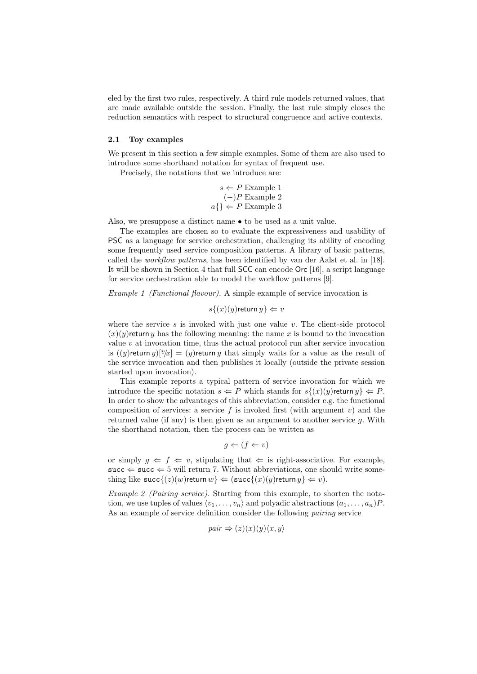eled by the first two rules, respectively. A third rule models returned values, that are made available outside the session. Finally, the last rule simply closes the reduction semantics with respect to structural congruence and active contexts.

#### 2.1 Toy examples

We present in this section a few simple examples. Some of them are also used to introduce some shorthand notation for syntax of frequent use.

Precisely, the notations that we introduce are:

 $s \Leftarrow P$ Example 1  $(-)P$  Example 2  $a\{\}\Leftarrow P$  Example 3

Also, we presuppose a distinct name • to be used as a unit value.

The examples are chosen so to evaluate the expressiveness and usability of PSC as a language for service orchestration, challenging its ability of encoding some frequently used service composition patterns. A library of basic patterns, called the workflow patterns, has been identified by van der Aalst et al. in [18]. It will be shown in Section 4 that full SCC can encode Orc [16], a script language for service orchestration able to model the workflow patterns [9].

Example 1 (Functional flavour). A simple example of service invocation is

$$
s\{(x)(y)\text{return }y\} \Leftarrow v
$$

where the service s is invoked with just one value v. The client-side protocol  $(x)(y)$ return y has the following meaning: the name x is bound to the invocation value  $v$  at invocation time, thus the actual protocol run after service invocation is  $((y)$ return  $y)[v/x] = (y)$ return y that simply waits for a value as the result of the service invocation and then publishes it locally (outside the private session started upon invocation).

This example reports a typical pattern of service invocation for which we introduce the specific notation  $s \leftarrow P$  which stands for  $s\{(x)(y)\}$ return  $y\} \leftarrow P$ . In order to show the advantages of this abbreviation, consider e.g. the functional composition of services: a service f is invoked first (with argument  $v$ ) and the returned value (if any) is then given as an argument to another service  $q$ . With the shorthand notation, then the process can be written as

$$
g \Leftarrow (f \Leftarrow v)
$$

or simply  $q \Leftarrow f \Leftarrow v$ , stipulating that  $\Leftarrow$  is right-associative. For example, succ  $\Leftarrow$  succ  $\Leftarrow$  5 will return 7. Without abbreviations, one should write something like  $succ{(z)(w)}$ return  $w \} \leftarrow (succ{(x)(y)}$ return  $y \} \leftarrow v$ .

Example 2 (Pairing service). Starting from this example, to shorten the notation, we use tuples of values  $\langle v_1, \ldots, v_n \rangle$  and polyadic abstractions  $(a_1, \ldots, a_n)P$ . As an example of service definition consider the following pairing service

$$
pair \Rightarrow (z)(x)(y)\langle x, y \rangle
$$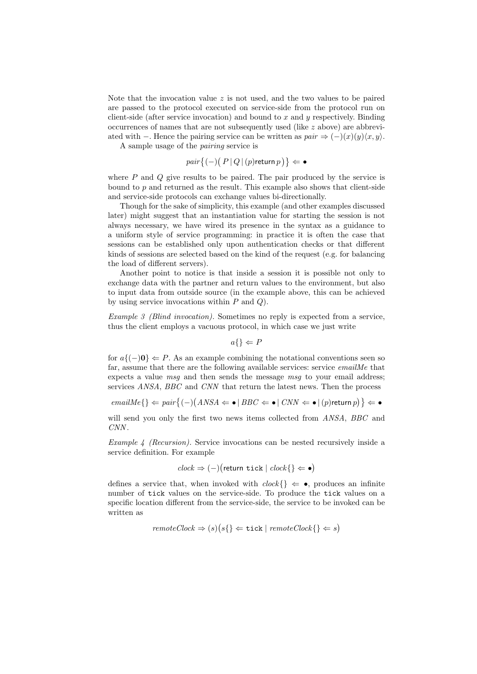Note that the invocation value  $z$  is not used, and the two values to be paired are passed to the protocol executed on service-side from the protocol run on client-side (after service invocation) and bound to  $x$  and  $y$  respectively. Binding occurrences of names that are not subsequently used (like z above) are abbreviated with −. Hence the pairing service can be written as  $pair \Rightarrow (-)(x)(y)\langle x, y\rangle$ .

A sample usage of the pairing service is

$$
pair\{(-)(P|Q|(p)\text{return }p)\} \leftarrow \bullet
$$

where  $P$  and  $Q$  give results to be paired. The pair produced by the service is bound to  $p$  and returned as the result. This example also shows that client-side and service-side protocols can exchange values bi-directionally.

Though for the sake of simplicity, this example (and other examples discussed later) might suggest that an instantiation value for starting the session is not always necessary, we have wired its presence in the syntax as a guidance to a uniform style of service programming: in practice it is often the case that sessions can be established only upon authentication checks or that different kinds of sessions are selected based on the kind of the request (e.g. for balancing the load of different servers).

Another point to notice is that inside a session it is possible not only to exchange data with the partner and return values to the environment, but also to input data from outside source (in the example above, this can be achieved by using service invocations within  $P$  and  $Q$ ).

Example 3 (Blind invocation). Sometimes no reply is expected from a service, thus the client employs a vacuous protocol, in which case we just write

 $a\{\}\Leftarrow P$ 

for  $a\{(-)0\} \leftarrow P$ . As an example combining the notational conventions seen so far, assume that there are the following available services: service *emailMe* that expects a value msg and then sends the message msg to your email address; services ANSA, BBC and CNN that return the latest news. Then the process

$$
\mathit{emailMe} \{\} \Leftarrow \mathit{pair} \ \{ (-) \big( \mathit{ANSA} \Leftarrow \bullet \, | \, \mathit{BBC} \Leftarrow \bullet \, | \, \mathit{CNN} \Leftarrow \bullet \, | \, (p) \mathit{return} \, p) \} \Leftarrow \bullet
$$

will send you only the first two news items collected from ANSA, BBC and CNN.

Example 4 (Recursion). Service invocations can be nested recursively inside a service definition. For example

$$
clock \Rightarrow (-)(return \text{ tick} | clock) \Leftarrow \bullet)
$$

defines a service that, when invoked with  $clock\{\} \Leftarrow \bullet$ , produces an infinite number of tick values on the service-side. To produce the tick values on a specific location different from the service-side, the service to be invoked can be written as

$$
remoteClock \Rightarrow (s)(s\{\} \Leftarrow \text{tick} \mid remoteClock\{\} \Leftarrow s)
$$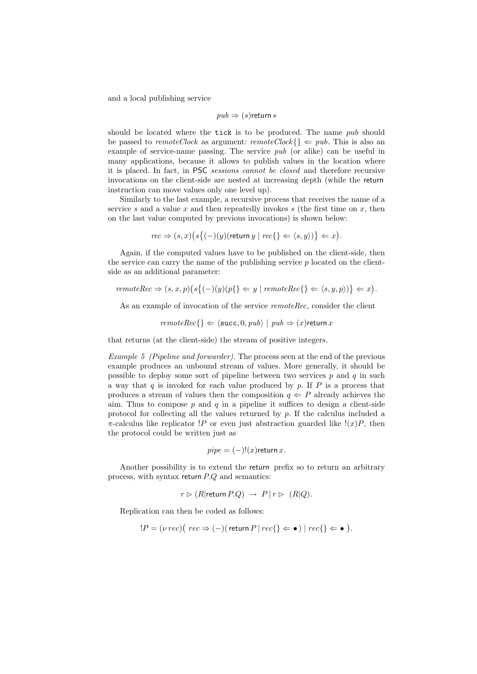and a local publishing service

$$
pub \Rightarrow (s)
$$
return s

should be located where the tick is to be produced. The name *pub* should be passed to remoteClock as argument: remoteClock $\{\}\Leftarrow pub$ . This is also an example of service-name passing. The service pub (or alike) can be useful in many applications, because it allows to publish values in the location where it is placed. In fact, in PSC sessions cannot be closed and therefore recursive invocations on the client-side are nested at increasing depth (while the return instruction can move values only one level up).

Similarly to the last example, a recursive process that receives the name of a service s and a value x and then repeatedly invokes s (the first time on x, then on the last value computed by previous invocations) is shown below:

$$
rec \Rightarrow (s, x) (s \{ (-)(y) (\text{return } y \mid rec\}) \Leftarrow \langle s, y \rangle ) \} \Leftarrow x).
$$

Again, if the computed values have to be published on the client-side, then the service can carry the name of the publishing service  $p$  located on the clientside as an additional parameter:

$$
remoteRec \Rightarrow (s, x, p) (s \{ (-)(y)(p\}) \Leftarrow y \mid remoteRec\{ \} \Leftarrow \langle s, y, p \rangle ) \} \Leftarrow x).
$$

As an example of invocation of the service *remoteRec*, consider the client

$$
remoteRec\{\} \Leftarrow \langle \texttt{succ}, 0, pub \rangle \mid pub \Rightarrow (x) \text{return } x
$$

that returns (at the client-side) the stream of positive integers.

Example 5 (Pipeline and forwarder). The process seen at the end of the previous example produces an unbound stream of values. More generally, it should be possible to deploy some sort of pipeline between two services  $p$  and  $q$  in such a way that  $q$  is invoked for each value produced by  $p$ . If  $P$  is a process that produces a stream of values then the composition  $q \leftarrow P$  already achieves the aim. Thus to compose p and q in a pipeline it suffices to design a client-side protocol for collecting all the values returned by  $p$ . If the calculus included a  $\pi$ -calculus like replicator !P or even just abstraction guarded like ! $(x)P$ , then the protocol could be written just as

$$
pipe = (-)!(x)\text{return }x.
$$

Another possibility is to extend the return prefix so to return an arbitrary process, with syntax return P.Q and semantics:

$$
r \triangleright (R|\text{return } P.Q) \rightarrow P|r \triangleright (R|Q).
$$

Replication can then be coded as follows:

$$
!P = (\nu \, rec) (\, rec \Rightarrow (-) (\text{return } P \, \vert \, rec \{ \} \Leftarrow \bullet) \, \vert \, rec \{ \} \Leftarrow \bullet ).
$$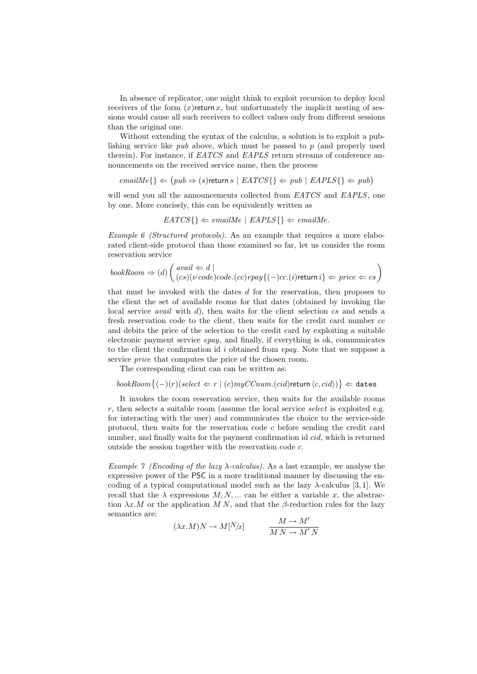In absence of replicator, one might think to exploit recursion to deploy local receivers of the form  $(x)$ return x, but unfortunately the implicit nesting of sessions would cause all such receivers to collect values only from different sessions than the original one.

Without extending the syntax of the calculus, a solution is to exploit a publishing service like *pub* above, which must be passed to  $p$  (and properly used therein). For instance, if EATCS and EAPLS return streams of conference announcements on the received service name, then the process

 $emailMe\{\}\Leftarrow (pub \Rightarrow (s)$ return  $s \mid EATCS\{\} \Leftarrow pub \mid EAPLS\{\} \Leftarrow pub)$ 

will send you all the announcements collected from EATCS and EAPLS, one by one. More concisely, this can be equivalently written as

$$
EATCS\{\} \Leftarrow emailMe \mid EAPLS\{\} \Leftarrow emailMe.
$$

Example 6 (Structured protocols). As an example that requires a more elaborated client-side protocol than those examined so far, let us consider the room reservation service

$$
bookRoom \Rightarrow (d) \begin{pmatrix} avail \Leftarrow d \\ (cs)(v \ code) code. (cc) \text{epay}\{(-)cc. (i) \text{return } i\} \Leftarrow price \Leftarrow cs \end{pmatrix}
$$

that must be invoked with the dates  $d$  for the reservation, then proposes to the client the set of available rooms for that dates (obtained by invoking the local service avail with d), then waits for the client selection cs and sends a fresh reservation code to the client, then waits for the credit card number cc and debits the price of the selection to the credit card by exploiting a suitable electronic payment service epay, and finally, if everything is ok, communicates to the client the confirmation id i obtained from *epay*. Note that we suppose a service *price* that computes the price of the chosen room.

The corresponding client can can be written as:

$$
bookRoom\{(-)(r)(select \Leftarrow r \mid (c) myCCnum.(cid))
$$
return  $\langle c, cid \rangle$ )\} < data

It invokes the room reservation service, then waits for the available rooms r, then selects a suitable room (assume the local service select is exploited e.g. for interacting with the user) and communicates the choice to the service-side protocol, then waits for the reservation code c before sending the credit card number, and finally waits for the payment confirmation id *cid*, which is returned outside the session together with the reservation code c.

Example 7 (Encoding of the lazy  $\lambda$ -calculus). As a last example, we analyse the expressive power of the PSC in a more traditional manner by discussing the encoding of a typical computational model such as the lazy  $\lambda$ -calculus [3, 1]. We recall that the  $\lambda$  expressions  $M, N, \dots$  can be either a variable x, the abstraction  $\lambda x.M$  or the application M N, and that the  $\beta$ -reduction rules for the lazy semantics are:

$$
(\lambda x.M)N \to M[N/x] \qquad \qquad \frac{M \to M'}{M \, N \to M' \, N}
$$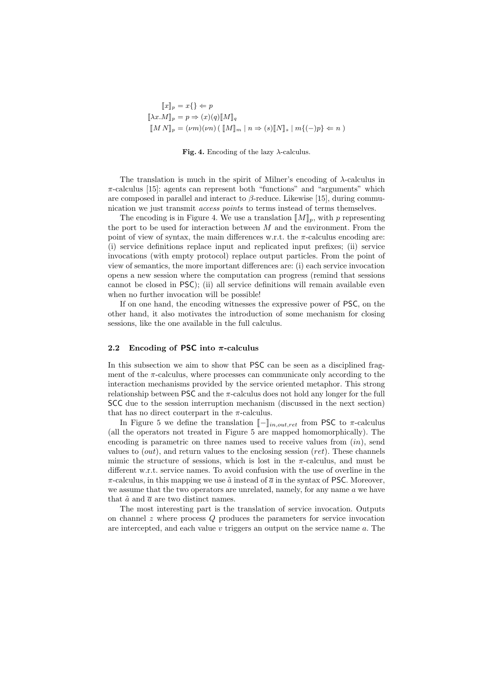$$
\begin{aligned} \llbracket x \rrbracket_p &= x \{ \} \Leftarrow p\\ \llbracket \lambda x. M \rrbracket_p &= p \Rightarrow (x)(q) \llbracket M \rrbracket_q\\ \llbracket M \, N \rrbracket_p &= (\nu m)(\nu n) \left( \llbracket M \rrbracket_m \mid n \Rightarrow (s) \llbracket N \rrbracket_s \mid m \{ (-) p \} \Leftarrow n \right) \end{aligned}
$$

Fig. 4. Encoding of the lazy  $\lambda$ -calculus.

The translation is much in the spirit of Milner's encoding of  $\lambda$ -calculus in  $\pi$ -calculus [15]: agents can represent both "functions" and "arguments" which are composed in parallel and interact to  $\beta$ -reduce. Likewise [15], during communication we just transmit *access points* to terms instead of terms themselves.

The encoding is in Figure 4. We use a translation  $[M]_p$ , with p representing the port to be used for interaction between  $M$  and the environment. From the point of view of syntax, the main differences w.r.t. the  $\pi$ -calculus encoding are: (i) service definitions replace input and replicated input prefixes; (ii) service invocations (with empty protocol) replace output particles. From the point of view of semantics, the more important differences are: (i) each service invocation opens a new session where the computation can progress (remind that sessions cannot be closed in PSC); (ii) all service definitions will remain available even when no further invocation will be possible!

If on one hand, the encoding witnesses the expressive power of PSC, on the other hand, it also motivates the introduction of some mechanism for closing sessions, like the one available in the full calculus.

#### 2.2 Encoding of PSC into  $\pi$ -calculus

In this subsection we aim to show that PSC can be seen as a disciplined fragment of the  $\pi$ -calculus, where processes can communicate only according to the interaction mechanisms provided by the service oriented metaphor. This strong relationship between PSC and the  $\pi$ -calculus does not hold any longer for the full SCC due to the session interruption mechanism (discussed in the next section) that has no direct couterpart in the  $\pi$ -calculus.

In Figure 5 we define the translation  $\llbracket - \rrbracket_{in,out,ret}$  from PSC to π-calculus (all the operators not treated in Figure 5 are mapped homomorphically). The encoding is parametric on three names used to receive values from  $(in)$ , send values to  $(out)$ , and return values to the enclosing session  $(ret)$ . These channels mimic the structure of sessions, which is lost in the  $\pi$ -calculus, and must be different w.r.t. service names. To avoid confusion with the use of overline in the  $\pi$ -calculus, in this mapping we use  $\tilde{a}$  instead of  $\overline{a}$  in the syntax of PSC. Moreover, we assume that the two operators are unrelated, namely, for any name  $a$  we have that  $\tilde{a}$  and  $\overline{a}$  are two distinct names.

The most interesting part is the translation of service invocation. Outputs on channel  $z$  where process  $Q$  produces the parameters for service invocation are intercepted, and each value  $v$  triggers an output on the service name  $a$ . The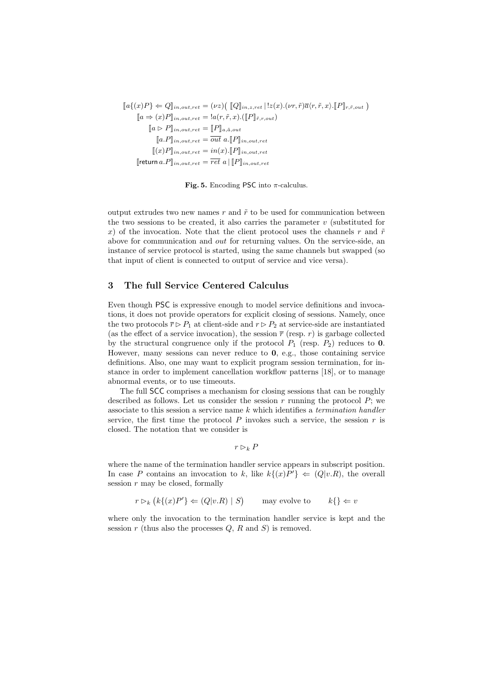$[a\{(x)P\} \leftarrow Q]_{in,out,ret} = (\nu z) \left( [Q]_{in,z,ret} | 1z(x).(\nu r, \tilde{r})\overline{\alpha}\langle r, \tilde{r}, x \rangle \cdot [P]_{r, \tilde{r}, out} \right)$  $[a \Rightarrow (x)P]_{in,out,ret} = !a(r, \tilde{r}, x) . (\llbracket P \rrbracket_{\tilde{r},r,out})$  $[a \triangleright P]_{in,out,ret} = [P]_{a,\tilde{a},out}$  $[a.P]|_{in,out,ret} = \overline{out} \ a.[P]|_{in,out,ret}$  $\llbracket (x)P \rrbracket_{in,out,ret} = in(x). \llbracket P \rrbracket_{in,out,ret}$  $\llbracket$ return  $a.P \rrbracket_{in,out,ret} = \overline{ret} \ a \mid \llbracket P \rrbracket_{in,out,ret}$ 

Fig. 5. Encoding PSC into  $\pi$ -calculus.

output extrudes two new names  $r$  and  $\tilde{r}$  to be used for communication between the two sessions to be created, it also carries the parameter  $v$  (substituted for x) of the invocation. Note that the client protocol uses the channels r and  $\tilde{r}$ above for communication and out for returning values. On the service-side, an instance of service protocol is started, using the same channels but swapped (so that input of client is connected to output of service and vice versa).

# 3 The full Service Centered Calculus

Even though PSC is expressive enough to model service definitions and invocations, it does not provide operators for explicit closing of sessions. Namely, once the two protocols  $\bar{r} \triangleright P_1$  at client-side and  $r \triangleright P_2$  at service-side are instantiated (as the effect of a service invocation), the session  $\bar{r}$  (resp. r) is garbage collected by the structural congruence only if the protocol  $P_1$  (resp.  $P_2$ ) reduces to 0. However, many sessions can never reduce to  $\mathbf{0}$ , e.g., those containing service definitions. Also, one may want to explicit program session termination, for instance in order to implement cancellation workflow patterns [18], or to manage abnormal events, or to use timeouts.

The full SCC comprises a mechanism for closing sessions that can be roughly described as follows. Let us consider the session  $r$  running the protocol  $P$ ; we associate to this session a service name  $k$  which identifies a *termination handler* service, the first time the protocol  $P$  invokes such a service, the session  $r$  is closed. The notation that we consider is

 $r \rhd_k P$ 

where the name of the termination handler service appears in subscript position. In case P contains an invocation to k, like  $k\{(x)P'\} \Leftarrow (Q|v.R)$ , the overall session  $r$  may be closed, formally

$$
r \rhd_k (k\{(x)P'\} \leftarrow (Q|v.R) | S)
$$
 may evolve to  $k\{\}\leftarrow v$ 

where only the invocation to the termination handler service is kept and the session  $r$  (thus also the processes  $Q$ ,  $R$  and  $S$ ) is removed.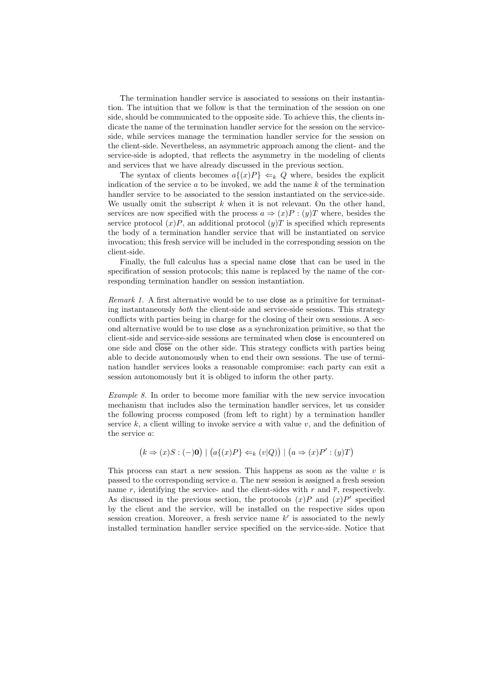The termination handler service is associated to sessions on their instantiation. The intuition that we follow is that the termination of the session on one side, should be communicated to the opposite side. To achieve this, the clients indicate the name of the termination handler service for the session on the serviceside, while services manage the termination handler service for the session on the client-side. Nevertheless, an asymmetric approach among the client- and the service-side is adopted, that reflects the asymmetry in the modeling of clients and services that we have already discussed in the previous section.

The syntax of clients becomes  $a\{(x)P\} \leftarrow_k Q$  where, besides the explicit indication of the service  $a$  to be invoked, we add the name  $k$  of the termination handler service to be associated to the session instantiated on the service-side. We usually omit the subscript  $k$  when it is not relevant. On the other hand, services are now specified with the process  $a \Rightarrow (x)P : (y)T$  where, besides the service protocol  $(x)P$ , an additional protocol  $(y)T$  is specified which represents the body of a termination handler service that will be instantiated on service invocation; this fresh service will be included in the corresponding session on the client-side.

Finally, the full calculus has a special name close that can be used in the specification of session protocols; this name is replaced by the name of the corresponding termination handler on session instantiation.

Remark 1. A first alternative would be to use close as a primitive for terminating instantaneously both the client-side and service-side sessions. This strategy conflicts with parties being in charge for the closing of their own sessions. A second alternative would be to use close as a synchronization primitive, so that the client-side and service-side sessions are terminated when close is encountered on one side and close on the other side. This strategy conflicts with parties being able to decide autonomously when to end their own sessions. The use of termination handler services looks a reasonable compromise: each party can exit a session autonomously but it is obliged to inform the other party.

Example 8. In order to become more familiar with the new service invocation mechanism that includes also the termination handler services, let us consider the following process composed (from left to right) by a termination handler service  $k$ , a client willing to invoke service  $a$  with value  $v$ , and the definition of the service a:

$$
(k \Rightarrow (x)S : (-)0) | (a{(x)P} \Leftarrow_k (v|Q)) | (a \Rightarrow (x)P' : (y)T)
$$

This process can start a new session. This happens as soon as the value  $v$  is passed to the corresponding service a. The new session is assigned a fresh session name r, identifying the service- and the client-sides with r and  $\bar{r}$ , respectively. As discussed in the previous section, the protocols  $(x)P$  and  $(x)P'$  specified by the client and the service, will be installed on the respective sides upon session creation. Moreover, a fresh service name  $k'$  is associated to the newly installed termination handler service specified on the service-side. Notice that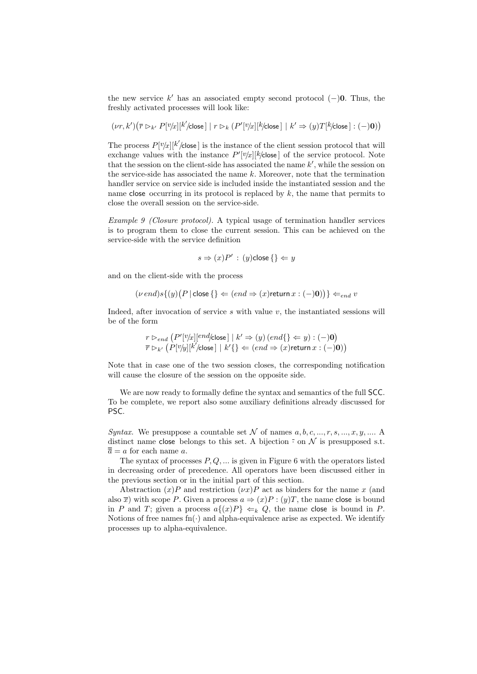the new service  $k'$  has an associated empty second protocol  $(-)0$ . Thus, the freshly activated processes will look like:

$$
(\nu r, k') \big(\overline{r} \rhd_{k'} P[v/x][k'/\mathsf{close}]\mid r \rhd_{k} (P'[v/x][k/\mathsf{close}]\mid k' \Rightarrow (y)T[k/\mathsf{close}]:(-)0)\big)
$$

The process  $P[\psi x][k'/\text{close}]$  is the instance of the client session protocol that will exchange values with the instance  $P'[v/x][k/\text{close}]$  of the service protocol. Note that the session on the client-side has associated the name  $k'$ , while the session on the service-side has associated the name  $k$ . Moreover, note that the termination handler service on service side is included inside the instantiated session and the name close occurring in its protocol is replaced by  $k$ , the name that permits to close the overall session on the service-side.

Example 9 (Closure protocol). A typical usage of termination handler services is to program them to close the current session. This can be achieved on the service-side with the service definition

$$
s \Rightarrow (x)P' : (y) \text{close } \{ \} \Leftarrow y
$$

and on the client-side with the process

$$
(\nu \text{ end})s\{(y)\{P \mid \text{close } \}\} \Leftarrow (end \Rightarrow (x)\text{return } x: (-)0)\} \Leftarrow_{end} v
$$

Indeed, after invocation of service s with value  $v$ , the instantiated sessions will be of the form

$$
\begin{array}{l} r \rhd_{end} \left( P'[v/x][end/\text{close}] \mid k' \Rightarrow (y) \left( end \{ \} \Leftarrow y \right) : (-)0 \right) \\ \overline{r} \rhd_{k'} \left( P[v/y][k'/\text{close}] \mid k' \{ \} \Leftarrow (end \Rightarrow (x) \text{return } x : (-)0) \right) \end{array}
$$

Note that in case one of the two session closes, the corresponding notification will cause the closure of the session on the opposite side.

We are now ready to formally define the syntax and semantics of the full SCC. To be complete, we report also some auxiliary definitions already discussed for PSC.

*Syntax.* We presuppose a countable set N of names  $a, b, c, ..., r, s, ..., x, y, ...$  A distinct name close belongs to this set. A bijection  $\overline{\cdot}$  on  $\mathcal N$  is presupposed s.t.  $\overline{\overline{a}} = a$  for each name a.

The syntax of processes  $P, Q, \ldots$  is given in Figure 6 with the operators listed in decreasing order of precedence. All operators have been discussed either in the previous section or in the initial part of this section.

Abstraction  $(x)P$  and restriction  $(\nu x)P$  act as binders for the name x (and also  $\overline{x}$ ) with scope P. Given a process  $a \Rightarrow (x)P : (y)T$ , the name close is bound in P and T; given a process  $a\{(x)P\} \Leftarrow_k Q$ , the name close is bound in P. Notions of free names  $fn(\cdot)$  and alpha-equivalence arise as expected. We identify processes up to alpha-equivalence.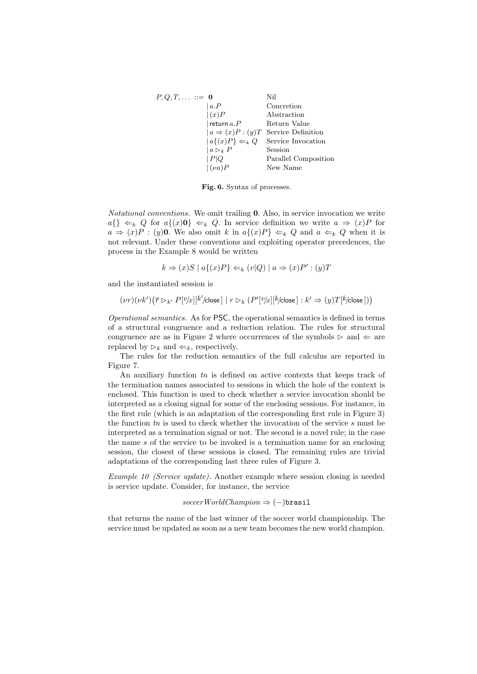

Fig. 6. Syntax of processes.

Notational conventions. We omit trailing 0. Also, in service invocation we write  $a\{\}\Leftarrow_k Q$  for  $a\{(x)\mathbf{0}\}\Leftarrow_k Q$ . In service definition we write  $a \Rightarrow (x)P$  for  $a \Rightarrow (x)P : (y)$ **0**. We also omit k in  $a\{(x)P\} \Leftarrow_k Q$  and  $a \Leftarrow_k Q$  when it is not relevant. Under these conventions and exploiting operator precedences, the process in the Example 8 would be written

$$
k \Rightarrow (x)S \mid a\{(x)P\} \Leftarrow_k (v|Q) \mid a \Rightarrow (x)P' : (y)T
$$

and the instantiated session is

$$
(\nu r)(\nu k')\big(\bar{r}\rhd_{k'}P[v/x][k'/\mathsf{close}]\mid r\rhd_{k}(P'[v/x][k/\mathsf{close}]:k'\Rightarrow (y)T[k/\mathsf{close}])\big)
$$

Operational semantics. As for PSC, the operational semantics is defined in terms of a structural congruence and a reduction relation. The rules for structural congruence are as in Figure 2 where occurrences of the symbols  $\triangleright$  and  $\Leftarrow$  are replaced by  $\triangleright_k$  and  $\Leftarrow_k$ , respectively.

The rules for the reduction semantics of the full calculus are reported in Figure 7.

An auxiliary function the is defined on active contexts that keeps track of the termination names associated to sessions in which the hole of the context is enclosed. This function is used to check whether a service invocation should be interpreted as a closing signal for some of the enclosing sessions. For instance, in the first rule (which is an adaptation of the corresponding first rule in Figure 3) the function  $tn$  is used to check whether the invocation of the service  $s$  must be interpreted as a termination signal or not. The second is a novel rule; in the case the name s of the service to be invoked is a termination name for an enclosing session, the closest of these sessions is closed. The remaining rules are trivial adaptations of the corresponding last three rules of Figure 3.

Example 10 (Service update). Another example where session closing is needed is service update. Consider, for instance, the service

 $soccerWorldChampion \Rightarrow (-)$ brasil

that returns the name of the last winner of the soccer world championship. The service must be updated as soon as a new team becomes the new world champion.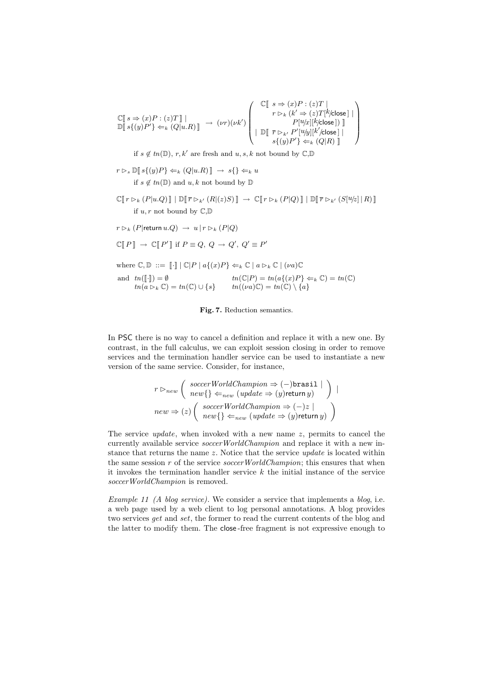$$
\label{eq:21} \begin{array}{l} \mathbb{C}[\![\,s\Rightarrow(x)P:(z)T\,]\!]\! \quad|\! \quad \ \, \mathbb{C}[\![\,s\Rightarrow(x)P:(z)T\,]\!]\! \quad \ \, \text{where} \;\; \mathbb{C}[\![\,s\Rightarrow(x)P:(z)T\,]\!]\! \quad \ \, \text{where} \;\; \mathbb{C}[\![\,s\Rightarrow(x)P:(z)T\,]\!]\! \quad \ \, \text{where} \;\; \mathbb{C}[\![\,s\Rightarrow(x)P:(z)T\,]\!]\!]\! \quad \ \, \text{where} \;\; \mathbb{C}[\![\,s\Rightarrow(x)P:(z)T\,]\!]\!]\! \quad \ \, \text{where} \;\; \mathbb{C}[\![\,s\Rightarrow(x)P:(z)T\,]\!]\!]\! \quad \ \, \text{where} \;\; \mathbb{C}[\![\,s\Rightarrow(x)P:(z)T\,]\!]\!]\! \quad \ \, \text{where} \;\; \mathbb{C}[\![\,s\Rightarrow(x)P:\!]\!]\!]\! \quad \ \, \text{where} \;\; \mathbb{C}[\![\,s\Rightarrow(x)P:\!]\!]\!]\!]\! \quad \ \, \text{where} \;\; \mathbb{C}[\![\,s\Rightarrow(x)P:\!]\!]\!]\!]\! \quad \ \, \text{where} \;\; \mathbb{C}[\![\,s\Rightarrow(x)P:\!]\!]\!]\!]\! \quad \ \, \text{where} \;\; \mathbb{C}[\![\,s\Rightarrow(x)P:\!]\!]\!]\!]\! \quad \ \, \text{where} \;\; \mathbb{C}[\![\,s\Rightarrow(x)P:\!]\!]\!]\!]\!]\! \quad \ \, \text{where} \;\; \mathbb{C}[\![\,s\Rightarrow(x)P:\!]\!]\!]\!]\!]\! \quad \ \, \text{where} \;\; \mathbb{C}[\![\,s\Rightarrow(x)P:\!]\!]\!]\!]\!]\! \quad \ \, \text{where} \;\; \mathbb{C}[\![\,s\Rightarrow(x)P:\!]\!]\!]\!]\!]\! \quad \ \, \text{where} \;\; \mathbb{C}[\![\,s\Rightarrow(x)P:\!]\!]\!]\!]\!]\!]\! \quad \ \, \text{where} \;\; \mathbb{C}[\![\,s
$$

if  $s \notin tn(\mathbb{D}), r, k'$  are fresh and  $u, s, k$  not bound by  $\mathbb{C}, \mathbb{D}$ 

$$
r \rhd_s \mathbb{D}[\![s\{(y)P\} \Leftarrow_k (Q|u.R)]\!] \rightarrow s\{\} \Leftarrow_k u
$$
  
if  $s \notin tn(\mathbb{D})$  and  $u, k$  not bound by  $\mathbb{D}$ 

 $\mathbb{C}[\![r \rhd_k (P|u.Q)]\!] \mid \mathbb{D}[\![\bar{r} \rhd_{k'} (R|(z)S)]\!] \rightarrow \mathbb{C}[\![r \rhd_k (P|Q)]\!] \mid \mathbb{D}[\![\bar{r} \rhd_{k'} (S[u/z] \mid R)]\!]$ if  $u, r$  not bound by  $\mathbb{C}, \mathbb{D}$ 

$$
r \rhd_k (P|\text{return } u.Q) \rightarrow u | r \rhd_k (P|Q)
$$

$$
\mathbb{C}[\![P]\!] \rightarrow \mathbb{C}[\![P']\!] \text{ if } P \equiv Q, \ Q \rightarrow Q', \ Q' \equiv P'
$$

where 
$$
\mathbb{C}, \mathbb{D} := \llbracket \cdot \rrbracket \mid \mathbb{C} | P \mid a \{ (x)P \} \Leftarrow_k \mathbb{C} \mid a \rhd_k \mathbb{C} \mid (\nu a) \mathbb{C}
$$
  
and  $\operatorname{tn}(\llbracket \cdot \rrbracket) = \emptyset$   
 $\operatorname{tn}(a \rhd_k \mathbb{C}) = \operatorname{tn}(\mathbb{C}) \cup \{ s \}$   
 $\operatorname{tn}(\nu a) \mathbb{C} = \operatorname{tn}(\mathbb{C}) \setminus \{ a \}$ 

Fig. 7. Reduction semantics.

In PSC there is no way to cancel a definition and replace it with a new one. By contrast, in the full calculus, we can exploit session closing in order to remove services and the termination handler service can be used to instantiate a new version of the same service. Consider, for instance,

$$
r \rhd_{new} \left( \begin{array}{c} \textit{soccerWorldChampion} \Rightarrow (-) \textit{brasil } | \\ \textit{new} \{\} \Leftarrow_{new} (update \Rightarrow (y) \textit{return } y) \end{array} \right) | \\ \textit{new} \Rightarrow (z) \left( \begin{array}{c} \textit{soccerWorldChampion} \Rightarrow (-)z \\ \textit{new} \{\} \Leftarrow_{new} (update \Rightarrow (y) \textit{return } y) \end{array} \right)
$$

The service update, when invoked with a new name z, permits to cancel the currently available service soccerWorldChampion and replace it with a new instance that returns the name z. Notice that the service update is located within the same session  $r$  of the service soccer WorldChampion; this ensures that when it invokes the termination handler service  $k$  the initial instance of the service soccerWorldChampion is removed.

Example 11 (A blog service). We consider a service that implements a blog, i.e. a web page used by a web client to log personal annotations. A blog provides two services get and set, the former to read the current contents of the blog and the latter to modify them. The close -free fragment is not expressive enough to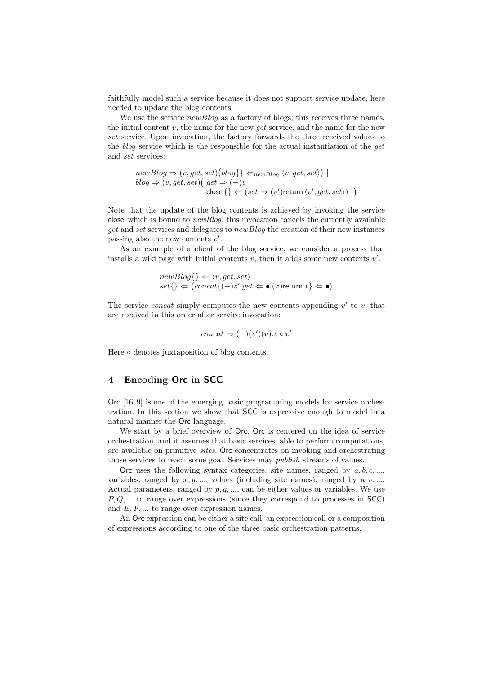faithfully model such a service because it does not support service update, here needed to update the blog contents.

We use the service  $newBlog$  as a factory of blogs; this receives three names, the initial content  $v$ , the name for the new get service, and the name for the new set service. Upon invocation, the factory forwards the three received values to the *blog* service which is the responsible for the actual instantiation of the  $qet$ and set services:

$$
newBlog \Rightarrow (v, get, set) (blog\{\} \Leftarrow_{newBlog} \langle v, get, set \rangle) |
$$
  
\n
$$
blog \Rightarrow (v, get, set) (get \Rightarrow (-)v |
$$
  
\n
$$
close \{\} \Leftarrow (set \Rightarrow (v')return \langle v', get, set \rangle) )
$$

Note that the update of the blog contents is achieved by invoking the service close which is bound to *newBlog*; this invocation cancels the currently available get and set services and delegates to new Blog the creation of their new instances passing also the new contents  $v'$ .

As an example of a client of the blog service, we consider a process that installs a wiki page with initial contents  $v$ , then it adds some new contents  $v'$ .

$$
newBlog\{\} \Leftarrow \langle v, get, set \rangle \mid
$$
  
 
$$
set\{\} \Leftarrow (concat\{(-)v'.get \Leftarrow \bullet | (x) return x \} \Leftarrow \bullet)
$$

The service *concat* simply computes the new contents appending  $v'$  to  $v$ , that are received in this order after service invocation:

$$
concat \Rightarrow (-)(v')(v).v \circ v'
$$

Here ∘ denotes juxtaposition of blog contents.

### 4 Encoding Orc in SCC

Orc [16, 9] is one of the emerging basic programming models for service orchestration. In this section we show that SCC is expressive enough to model in a natural manner the Orc language.

We start by a brief overview of Orc. Orc is centered on the idea of service orchestration, and it assumes that basic services, able to perform computations, are available on primitive sites. Orc concentrates on invoking and orchestrating those services to reach some goal. Services may publish streams of values.

Orc uses the following syntax categories: site names, ranged by  $a, b, c, \ldots$ , variables, ranged by  $x, y, \ldots$ , values (including site names), ranged by  $u, v, \ldots$ Actual parameters, ranged by  $p, q, \ldots$ , can be either values or variables. We use  $P, Q, \ldots$  to range over expressions (since they correspond to processes in SCC) and  $E, F, \ldots$  to range over expression names.

An Orc expression can be either a site call, an expression call or a composition of expressions according to one of the three basic orchestration patterns.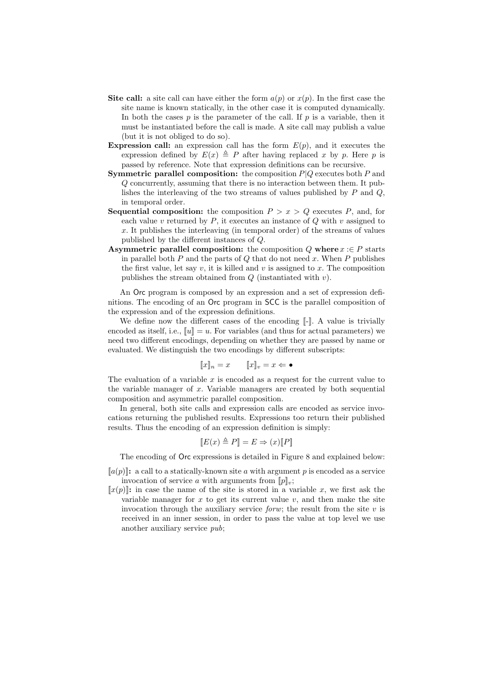- **Site call:** a site call can have either the form  $a(p)$  or  $x(p)$ . In the first case the site name is known statically, in the other case it is computed dynamically. In both the cases  $p$  is the parameter of the call. If  $p$  is a variable, then it must be instantiated before the call is made. A site call may publish a value (but it is not obliged to do so).
- **Expression call:** an expression call has the form  $E(p)$ , and it executes the expression defined by  $E(x) \triangleq P$  after having replaced x by p. Here p is passed by reference. Note that expression definitions can be recursive.
- **Symmetric parallel composition:** the composition  $P|Q$  executes both  $P$  and Q concurrently, assuming that there is no interaction between them. It publishes the interleaving of the two streams of values published by  $P$  and  $Q$ , in temporal order.
- **Sequential composition:** the composition  $P > x > Q$  executes P, and, for each value v returned by  $P$ , it executes an instance of  $Q$  with v assigned to  $x$ . It publishes the interleaving (in temporal order) of the streams of values published by the different instances of Q.
- Asymmetric parallel composition: the composition Q where  $x \in P$  starts in parallel both  $P$  and the parts of  $Q$  that do not need  $x$ . When  $P$  publishes the first value, let say  $v$ , it is killed and  $v$  is assigned to  $x$ . The composition publishes the stream obtained from  $Q$  (instantiated with  $v$ ).

An Orc program is composed by an expression and a set of expression definitions. The encoding of an Orc program in SCC is the parallel composition of the expression and of the expression definitions.

We define now the different cases of the encoding  $\llbracket - \rrbracket$ . A value is trivially encoded as itself, i.e.,  $\llbracket u \rrbracket = u$ . For variables (and thus for actual parameters) we need two different encodings, depending on whether they are passed by name or evaluated. We distinguish the two encodings by different subscripts:

$$
[\![x]\!]_n = x \qquad [\![x]\!]_v = x \Leftarrow \bullet
$$

The evaluation of a variable  $x$  is encoded as a request for the current value to the variable manager of  $x$ . Variable managers are created by both sequential composition and asymmetric parallel composition.

In general, both site calls and expression calls are encoded as service invocations returning the published results. Expressions too return their published results. Thus the encoding of an expression definition is simply:

$$
[[E(x) \triangleq P]] = E \Rightarrow (x)[[P]]
$$

The encoding of Orc expressions is detailed in Figure 8 and explained below:

- $[a(p)]$ : a call to a statically-known site a with argument p is encoded as a service invocation of service a with arguments from  $[\![p]\!]_v$ ;
- $[x(p)]$ : in case the name of the site is stored in a variable x, we first ask the variable manager for  $x$  to get its current value  $v$ , and then make the site invocation through the auxiliary service *forw*; the result from the site  $v$  is received in an inner session, in order to pass the value at top level we use another auxiliary service pub;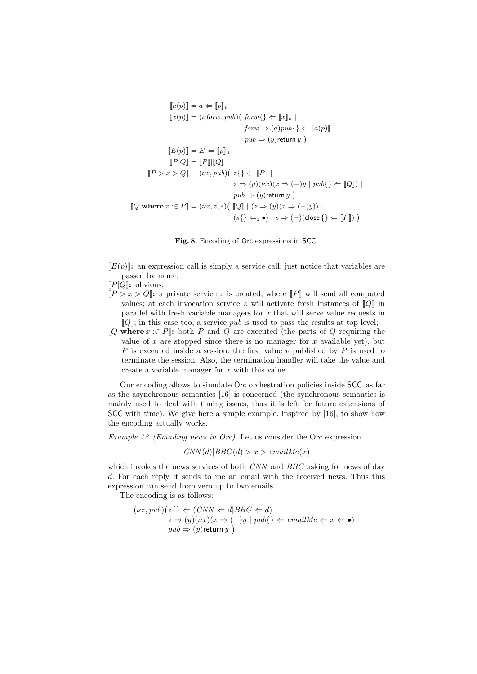$$
[a(p)] = a \Leftarrow [p]_v
$$
  
\n
$$
[x(p)] = (\nu \text{for} w, \text{pub}) (\text{for} w \{ \} \Leftarrow [x]_v \mid
$$
  
\n
$$
\text{for} w \Rightarrow (a) \text{pub} \{ \} \Leftarrow [a(p)] \mid
$$
  
\n
$$
\text{pt} \Rightarrow (y) \text{return } y
$$
  
\n
$$
[E(p)] = E \Leftarrow [p]_n
$$
  
\n
$$
[P|Q] = [P] | [Q]
$$
  
\n
$$
[P > x > Q] = (\nu z, \text{pub}) (z \{ \} \Leftarrow [P] \mid
$$
  
\n
$$
z \Rightarrow (y)(\nu x)(x \Rightarrow (-)y \mid \text{pub} \{ \} \Leftarrow [Q]) \mid
$$
  
\n
$$
\text{pub} \Rightarrow (y) \text{return } y
$$
  
\n
$$
[Q \text{ where } x : \in P] = (\nu x, z, s) ( [Q] | (z \Rightarrow (y)(x \Rightarrow (-)y)) \mid
$$
  
\n
$$
(s \{ \} \Leftarrow z \bullet) | s \Rightarrow (-) (\text{close} \{ \} \Leftarrow [P]) )
$$

Fig. 8. Encoding of Orc expressions in SCC.

- $\llbracket E(p) \rrbracket$ : an expression call is simply a service call; just notice that variables are passed by name;
- $[$ [P|Q]: obvious;
- $[P > x > Q]$ : a private service z is created, where  $[P]$  will send all computed values; at each invocation service z will activate fresh instances of  $[Q]$  in parallel with fresh variable managers for  $x$  that will serve value requests in  $[Q]$ ; in this case too, a service pub is used to pass the results at top level;
- [Q where  $x \in P$ ]: both P and Q are executed (the parts of Q requiring the value of x are stopped since there is no manager for x available yet), but P is executed inside a session: the first value  $v$  published by  $P$  is used to terminate the session. Also, the termination handler will take the value and create a variable manager for x with this value.

Our encoding allows to simulate Orc orchestration policies inside SCC as far as the asynchronous semantics [16] is concerned (the synchronous semantics is mainly used to deal with timing issues, thus it is left for future extensions of SCC with time). We give here a simple example, inspired by [16], to show how the encoding actually works.

Example 12 (Emailing news in Orc). Let us consider the Orc expression

 $CNN(d)|BBC(d) > x > emailMe(x)$ 

which invokes the news services of both CNN and BBC asking for news of day d. For each reply it sends to me an email with the received news. Thus this expression can send from zero up to two emails.

The encoding is as follows:

$$
(\nu z, pub)(z)\begin{cases}\n\langle (cNN \leftarrow d|BBC \leftarrow d) | \\
z \Rightarrow (y)(\nu x)(x \Rightarrow (-)y | pub{\} \leftarrow emailMe \leftarrow x \leftarrow \bullet)\n\end{cases})\n\mu b \Rightarrow (y)\text{return } y\n\end{cases}
$$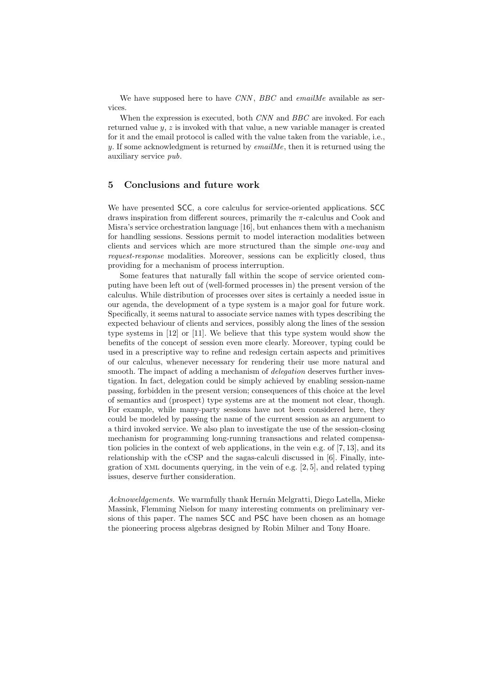We have supposed here to have CNN, BBC and emailMe available as services.

When the expression is executed, both CNN and BBC are invoked. For each returned value  $y, z$  is invoked with that value, a new variable manager is created for it and the email protocol is called with the value taken from the variable, i.e., y. If some acknowledgment is returned by  $emailMe$ , then it is returned using the auxiliary service pub.

# 5 Conclusions and future work

We have presented SCC, a core calculus for service-oriented applications. SCC draws inspiration from different sources, primarily the  $\pi$ -calculus and Cook and Misra's service orchestration language [16], but enhances them with a mechanism for handling sessions. Sessions permit to model interaction modalities between clients and services which are more structured than the simple one-way and request-response modalities. Moreover, sessions can be explicitly closed, thus providing for a mechanism of process interruption.

Some features that naturally fall within the scope of service oriented computing have been left out of (well-formed processes in) the present version of the calculus. While distribution of processes over sites is certainly a needed issue in our agenda, the development of a type system is a major goal for future work. Specifically, it seems natural to associate service names with types describing the expected behaviour of clients and services, possibly along the lines of the session type systems in [12] or [11]. We believe that this type system would show the benefits of the concept of session even more clearly. Moreover, typing could be used in a prescriptive way to refine and redesign certain aspects and primitives of our calculus, whenever necessary for rendering their use more natural and smooth. The impact of adding a mechanism of *delegation* deserves further investigation. In fact, delegation could be simply achieved by enabling session-name passing, forbidden in the present version; consequences of this choice at the level of semantics and (prospect) type systems are at the moment not clear, though. For example, while many-party sessions have not been considered here, they could be modeled by passing the name of the current session as an argument to a third invoked service. We also plan to investigate the use of the session-closing mechanism for programming long-running transactions and related compensation policies in the context of web applications, in the vein e.g. of  $[7, 13]$ , and its relationship with the cCSP and the sagas-calculi discussed in [6]. Finally, integration of xml documents querying, in the vein of e.g. [2, 5], and related typing issues, deserve further consideration.

Acknoweldgements. We warmfully thank Hernán Melgratti, Diego Latella, Mieke Massink, Flemming Nielson for many interesting comments on preliminary versions of this paper. The names SCC and PSC have been chosen as an homage the pioneering process algebras designed by Robin Milner and Tony Hoare.